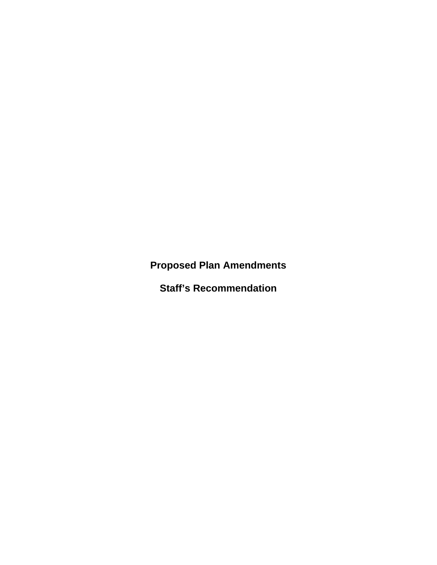**Proposed Plan Amendments** 

**Staff's Recommendation**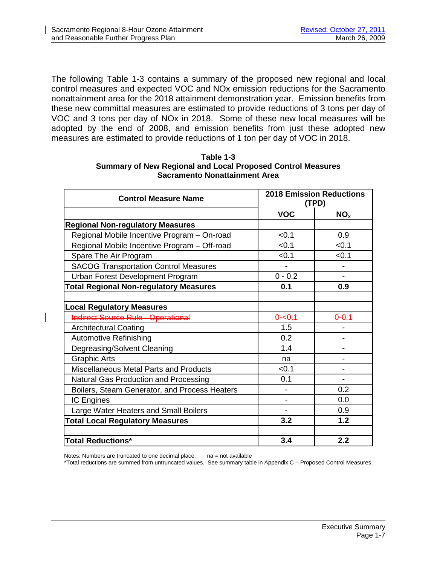The following Table 1-3 contains a summary of the proposed new regional and local control measures and expected VOC and NOx emission reductions for the Sacramento nonattainment area for the 2018 attainment demonstration year. Emission benefits from these new committal measures are estimated to provide reductions of 3 tons per day of VOC and 3 tons per day of NOx in 2018. Some of these new local measures will be adopted by the end of 2008, and emission benefits from just these adopted new measures are estimated to provide reductions of 1 ton per day of VOC in 2018.

| <b>Control Measure Name</b>                   | <b>2018 Emission Reductions</b><br>(TPD) |                 |
|-----------------------------------------------|------------------------------------------|-----------------|
|                                               | <b>VOC</b>                               | NO <sub>x</sub> |
| <b>Regional Non-regulatory Measures</b>       |                                          |                 |
| Regional Mobile Incentive Program - On-road   | < 0.1                                    | 0.9             |
| Regional Mobile Incentive Program - Off-road  | < 0.1                                    | < 0.1           |
| Spare The Air Program                         | < 0.1                                    | < 0.1           |
| <b>SACOG Transportation Control Measures</b>  |                                          |                 |
| Urban Forest Development Program              | $0 - 0.2$                                |                 |
| <b>Total Regional Non-regulatory Measures</b> | 0.1                                      | 0.9             |
|                                               |                                          |                 |
| <b>Local Regulatory Measures</b>              |                                          |                 |
| <b>Indirect Source Rule - Operational</b>     | $0 - 0.1$                                | $0 - 0.1$       |
| <b>Architectural Coating</b>                  | 1.5                                      |                 |
| <b>Automotive Refinishing</b>                 | 0.2                                      |                 |
| Degreasing/Solvent Cleaning                   | 1.4                                      |                 |
| <b>Graphic Arts</b>                           | na                                       |                 |
| Miscellaneous Metal Parts and Products        | < 0.1                                    |                 |
| Natural Gas Production and Processing         | 0.1                                      |                 |
| Boilers, Steam Generator, and Process Heaters |                                          | 0.2             |
| <b>IC Engines</b>                             |                                          | 0.0             |
| Large Water Heaters and Small Boilers         |                                          | 0.9             |
| <b>Total Local Regulatory Measures</b>        | 3.2                                      | 1.2             |
|                                               |                                          |                 |
| <b>Total Reductions*</b>                      | 3.4                                      | 2.2             |

| Table 1-3                                                          |
|--------------------------------------------------------------------|
| <b>Summary of New Regional and Local Proposed Control Measures</b> |
| Sacramento Nonattainment Area                                      |

Notes: Numbers are truncated to one decimal place. na = not available

\*Total reductions are summed from untruncated values. See summary table in Appendix C – Proposed Control Measures.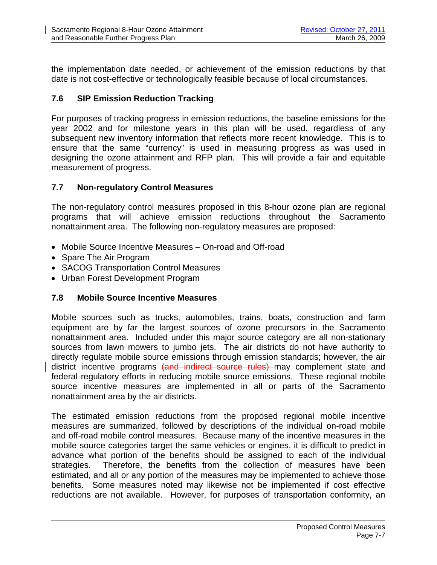the implementation date needed, or achievement of the emission reductions by that date is not cost-effective or technologically feasible because of local circumstances.

# **7.6 SIP Emission Reduction Tracking**

For purposes of tracking progress in emission reductions, the baseline emissions for the year 2002 and for milestone years in this plan will be used, regardless of any subsequent new inventory information that reflects more recent knowledge. This is to ensure that the same "currency" is used in measuring progress as was used in designing the ozone attainment and RFP plan. This will provide a fair and equitable measurement of progress.

# **7.7 Non-regulatory Control Measures**

The non-regulatory control measures proposed in this 8-hour ozone plan are regional programs that will achieve emission reductions throughout the Sacramento nonattainment area. The following non-regulatory measures are proposed:

- Mobile Source Incentive Measures On-road and Off-road
- Spare The Air Program
- SACOG Transportation Control Measures
- Urban Forest Development Program

# **7.8 Mobile Source Incentive Measures**

Mobile sources such as trucks, automobiles, trains, boats, construction and farm equipment are by far the largest sources of ozone precursors in the Sacramento nonattainment area. Included under this major source category are all non-stationary sources from lawn mowers to jumbo jets. The air districts do not have authority to directly regulate mobile source emissions through emission standards; however, the air district incentive programs (and indirect source rules) may complement state and federal regulatory efforts in reducing mobile source emissions. These regional mobile source incentive measures are implemented in all or parts of the Sacramento nonattainment area by the air districts.

The estimated emission reductions from the proposed regional mobile incentive measures are summarized, followed by descriptions of the individual on-road mobile and off-road mobile control measures. Because many of the incentive measures in the mobile source categories target the same vehicles or engines, it is difficult to predict in advance what portion of the benefits should be assigned to each of the individual strategies. Therefore, the benefits from the collection of measures have been estimated, and all or any portion of the measures may be implemented to achieve those benefits. Some measures noted may likewise not be implemented if cost effective reductions are not available. However, for purposes of transportation conformity, an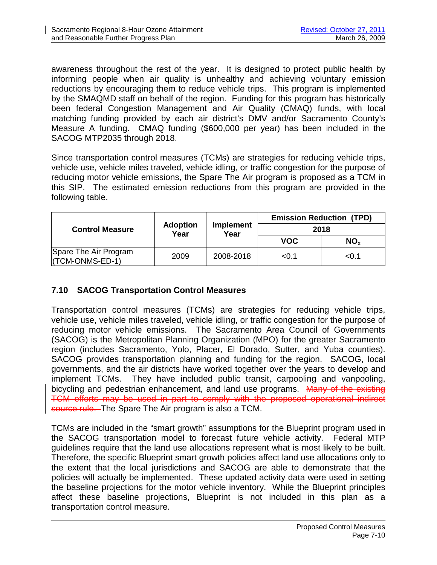awareness throughout the rest of the year. It is designed to protect public health by informing people when air quality is unhealthy and achieving voluntary emission reductions by encouraging them to reduce vehicle trips. This program is implemented by the SMAQMD staff on behalf of the region. Funding for this program has historically been federal Congestion Management and Air Quality (CMAQ) funds, with local matching funding provided by each air district's DMV and/or Sacramento County's Measure A funding. CMAQ funding (\$600,000 per year) has been included in the SACOG MTP2035 through 2018.

Since transportation control measures (TCMs) are strategies for reducing vehicle trips, vehicle use, vehicle miles traveled, vehicle idling, or traffic congestion for the purpose of reducing motor vehicle emissions, the Spare The Air program is proposed as a TCM in this SIP. The estimated emission reductions from this program are provided in the following table.

| <b>Control Measure</b>                   |                         | Implement<br>Year | <b>Emission Reduction (TPD)</b> |                 |
|------------------------------------------|-------------------------|-------------------|---------------------------------|-----------------|
|                                          | <b>Adoption</b><br>Year |                   | 2018                            |                 |
|                                          |                         |                   | <b>VOC</b>                      | NO <sub>x</sub> |
| Spare The Air Program<br>(TCM-ONMS-ED-1) | 2009                    | 2008-2018         | < 0.1                           | < 0.1           |

# **7.10 SACOG Transportation Control Measures**

Transportation control measures (TCMs) are strategies for reducing vehicle trips, vehicle use, vehicle miles traveled, vehicle idling, or traffic congestion for the purpose of reducing motor vehicle emissions. The Sacramento Area Council of Governments (SACOG) is the Metropolitan Planning Organization (MPO) for the greater Sacramento region (includes Sacramento, Yolo, Placer, El Dorado, Sutter, and Yuba counties). SACOG provides transportation planning and funding for the region. SACOG, local governments, and the air districts have worked together over the years to develop and implement TCMs. They have included public transit, carpooling and vanpooling, bicycling and pedestrian enhancement, and land use programs. Many of the existing TCM efforts may be used in part to comply with the proposed operational indirect source rule. The Spare The Air program is also a TCM.

TCMs are included in the "smart growth" assumptions for the Blueprint program used in the SACOG transportation model to forecast future vehicle activity. Federal MTP guidelines require that the land use allocations represent what is most likely to be built. Therefore, the specific Blueprint smart growth policies affect land use allocations only to the extent that the local jurisdictions and SACOG are able to demonstrate that the policies will actually be implemented. These updated activity data were used in setting the baseline projections for the motor vehicle inventory. While the Blueprint principles affect these baseline projections, Blueprint is not included in this plan as a transportation control measure.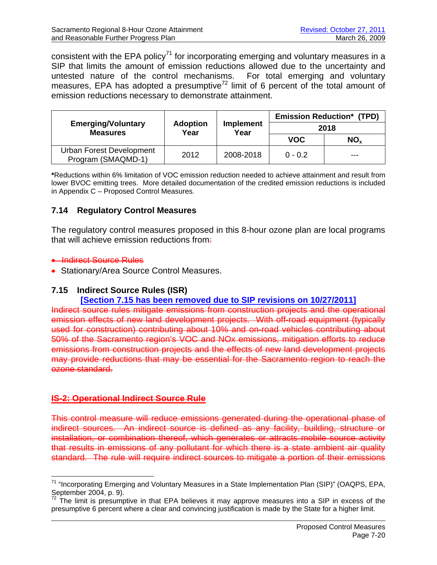consistent with the EPA policy<sup>71</sup> for incorporating emerging and voluntary measures in a SIP that limits the amount of emission reductions allowed due to the uncertainty and untested nature of the control mechanisms. For total emerging and voluntary measures, EPA has adopted a presumptive<sup>72</sup> limit of 6 percent of the total amount of emission reductions necessary to demonstrate attainment.

|                                                |                                                     |           |            | <b>Emission Reduction* (TPD)</b> |
|------------------------------------------------|-----------------------------------------------------|-----------|------------|----------------------------------|
| <b>Emerging/Voluntary</b><br><b>Measures</b>   | <b>Adoption</b><br><b>Implement</b><br>Year<br>Year |           | 2018       |                                  |
|                                                |                                                     |           | <b>VOC</b> | NO <sub>x</sub>                  |
| Urban Forest Development<br>Program (SMAQMD-1) | 2012                                                | 2008-2018 | $0 - 0.2$  | ---                              |

**\***Reductions within 6% limitation of VOC emission reduction needed to achieve attainment and result from lower BVOC emitting trees. More detailed documentation of the credited emission reductions is included in Appendix C – Proposed Control Measures.

# **7.14 Regulatory Control Measures**

The regulatory control measures proposed in this 8-hour ozone plan are local programs that will achieve emission reductions from.

# **• Indirect Source Rules**

 $\overline{a}$ 

**• Stationary/Area Source Control Measures.** 

# **7.15 Indirect Source Rules (ISR)**

# **[Section 7.15 has been removed due to SIP revisions on 10/27/2011]**

Indirect source rules mitigate emissions from construction projects and the operational emission effects of new land development projects. With off-road equipment (typically used for construction) contributing about 10% and on-road vehicles contributing about 50% of the Sacramento region's VOC and NOx emissions, mitigation efforts to reduce emissions from construction projects and the effects of new land development projects may provide reductions that may be essential for the Sacramento region to reach the ozone standard.

# **IS-2: Operational Indirect Source Rule**

This control measure will reduce emissions generated during the operational phase of indirect sources. An indirect source is defined as any facility, building, structure or installation, or combination thereof, which generates or attracts mobile source activity that results in emissions of any pollutant for which there is a state ambient air quality standard. The rule will require indirect sources to mitigate a portion of their emissions

<sup>&</sup>lt;sup>71</sup> "Incorporating Emerging and Voluntary Measures in a State Implementation Plan (SIP)" (OAQPS, EPA, September 2004, p. 9).

 $72$  The limit is presumptive in that EPA believes it may approve measures into a SIP in excess of the presumptive 6 percent where a clear and convincing justification is made by the State for a higher limit.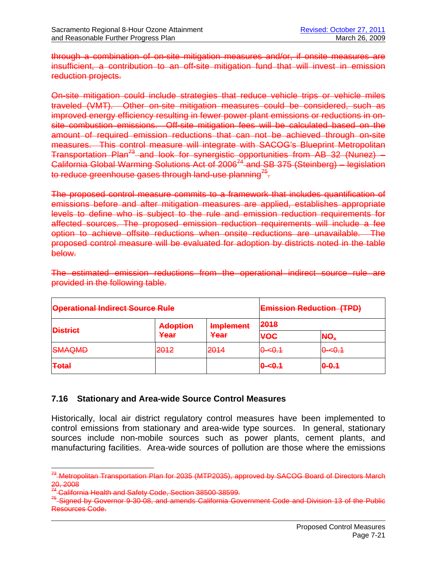through a combination of on-site mitigation measures and/or, if onsite measures are insufficient, a contribution to an off-site mitigation fund that will invest in emission reduction projects.

On-site mitigation could include strategies that reduce vehicle trips or vehicle miles traveled (VMT). Other on-site mitigation measures could be considered, such as improved energy efficiency resulting in fewer power plant emissions or reductions in onsite combustion emissions. Off-site mitigation fees will be calculated based on the amount of required emission reductions that can not be achieved through on-site measures. This control measure will integrate with SACOG's Blueprint Metropolitan Transportation Plan<sup>73</sup> and look for synergistic opportunities from  $AB$  32 (Nunez) – California Global Warming Solutions Act of  $2006^{74}$  and SB 375 (Steinberg) – legislation to reduce greenhouse gases through land-use planning<sup>15</sup>.

The proposed control measure commits to a framework that includes quantification of emissions before and after mitigation measures are applied, establishes appropriate levels to define who is subject to the rule and emission reduction requirements for affected sources. The proposed emission reduction requirements will include a fee option to achieve offsite reductions when onsite reductions are unavailable. The proposed control measure will be evaluated for adoption by districts noted in the table below.

| <b>Operational Indirect Source Rule</b> |                         |                          | <b>Emission Reduction (TPD)</b> |                                   |  |
|-----------------------------------------|-------------------------|--------------------------|---------------------------------|-----------------------------------|--|
| <b>District</b>                         | <b>Adoption</b><br>Year | <b>Implement</b><br>Year | 2018                            |                                   |  |
|                                         |                         |                          | <b>VOC</b>                      | NO <sub>¥</sub>                   |  |
| <b>GMAQMAD</b><br><del>omnamb</del>     | 2012<br>=               | 2014<br>$-0-1$           | $0 - 0.1$                       | <u> ഫെ 1</u><br><del>o~o. i</del> |  |
| <b>Total</b>                            |                         |                          | $0 - 6.1$                       | $0 - 0.1$                         |  |

The estimated emission reductions from the operational indirect source rule are provided in the following table.

# **7.16 Stationary and Area-wide Source Control Measures**

Historically, local air district regulatory control measures have been implemented to control emissions from stationary and area-wide type sources. In general, stationary sources include non-mobile sources such as power plants, cement plants, and manufacturing facilities. Area-wide sources of pollution are those where the emissions

 $\overline{a}$ 

<sup>&</sup>lt;sup>73</sup> Metropolitan Transportation Plan for 2035 (MTP2035), approved by SACOG Board of Directors March 20, 2008<br><sup>74</sup> California Health and Safety Code. Section 38500 38599.

<sup>&</sup>lt;sup>75</sup> Signed by Governor 9-30-08, and amends California Government Code and Division 13 of the Public Resources Code.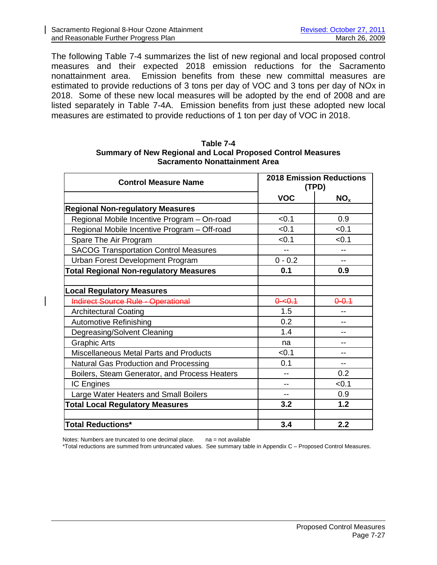The following Table 7-4 summarizes the list of new regional and local proposed control measures and their expected 2018 emission reductions for the Sacramento nonattainment area. Emission benefits from these new committal measures are estimated to provide reductions of 3 tons per day of VOC and 3 tons per day of NOx in 2018. Some of these new local measures will be adopted by the end of 2008 and are listed separately in Table 7-4A. Emission benefits from just these adopted new local measures are estimated to provide reductions of 1 ton per day of VOC in 2018.

#### **Table 7-4 Summary of New Regional and Local Proposed Control Measures Sacramento Nonattainment Area**

| <b>Control Measure Name</b>                   | <b>2018 Emission Reductions</b><br>(TPD) |                 |
|-----------------------------------------------|------------------------------------------|-----------------|
|                                               | <b>VOC</b>                               | NO <sub>x</sub> |
| <b>Regional Non-regulatory Measures</b>       |                                          |                 |
| Regional Mobile Incentive Program - On-road   | < 0.1                                    | 0.9             |
| Regional Mobile Incentive Program - Off-road  | < 0.1                                    | < 0.1           |
| Spare The Air Program                         | < 0.1                                    | < 0.1           |
| <b>SACOG Transportation Control Measures</b>  | --                                       | --              |
| Urban Forest Development Program              | $0 - 0.2$                                | --              |
| <b>Total Regional Non-regulatory Measures</b> | 0.1                                      | 0.9             |
|                                               |                                          |                 |
| <b>Local Regulatory Measures</b>              |                                          |                 |
| <b>Indirect Source Rule - Operational</b>     | $0 - 0.1$                                | $0 - 0.1$       |
| <b>Architectural Coating</b>                  | 1.5                                      |                 |
| <b>Automotive Refinishing</b>                 | 0.2                                      |                 |
| Degreasing/Solvent Cleaning                   | 1.4                                      |                 |
| <b>Graphic Arts</b>                           | na                                       |                 |
| Miscellaneous Metal Parts and Products        | < 0.1                                    |                 |
| Natural Gas Production and Processing         | 0.1                                      |                 |
| Boilers, Steam Generator, and Process Heaters |                                          | 0.2             |
| IC Engines                                    |                                          | < 0.1           |
| Large Water Heaters and Small Boilers         |                                          | 0.9             |
| <b>Total Local Regulatory Measures</b>        | 3.2                                      | 1.2             |
|                                               |                                          |                 |
| <b>Total Reductions*</b>                      | 3.4                                      | 2.2             |

Notes: Numbers are truncated to one decimal place. na = not available

\*Total reductions are summed from untruncated values. See summary table in Appendix C – Proposed Control Measures.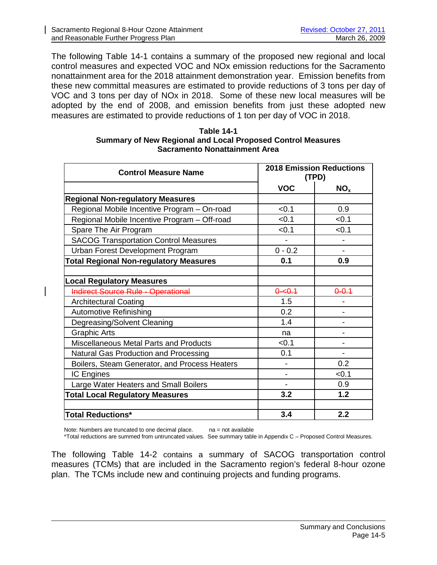The following Table 14-1 contains a summary of the proposed new regional and local control measures and expected VOC and NOx emission reductions for the Sacramento nonattainment area for the 2018 attainment demonstration year. Emission benefits from these new committal measures are estimated to provide reductions of 3 tons per day of VOC and 3 tons per day of NOx in 2018. Some of these new local measures will be adopted by the end of 2008, and emission benefits from just these adopted new measures are estimated to provide reductions of 1 ton per day of VOC in 2018.

| Table 14-1                                                         |
|--------------------------------------------------------------------|
| <b>Summary of New Regional and Local Proposed Control Measures</b> |
| Sacramento Nonattainment Area                                      |

| <b>Control Measure Name</b>                   | <b>2018 Emission Reductions</b><br>(TPD) |                 |
|-----------------------------------------------|------------------------------------------|-----------------|
|                                               | <b>VOC</b>                               | NO <sub>x</sub> |
| <b>Regional Non-regulatory Measures</b>       |                                          |                 |
| Regional Mobile Incentive Program - On-road   | < 0.1                                    | 0.9             |
| Regional Mobile Incentive Program - Off-road  | < 0.1                                    | < 0.1           |
| Spare The Air Program                         | < 0.1                                    | < 0.1           |
| <b>SACOG Transportation Control Measures</b>  | $\blacksquare$                           |                 |
| Urban Forest Development Program              | $0 - 0.2$                                | ÷.              |
| <b>Total Regional Non-regulatory Measures</b> | 0.1                                      | 0.9             |
|                                               |                                          |                 |
| <b>Local Regulatory Measures</b>              |                                          |                 |
| <b>Indirect Source Rule - Operational</b>     | $0 - 0.1$                                | $0 - 0.4$       |
| <b>Architectural Coating</b>                  | 1.5                                      |                 |
| <b>Automotive Refinishing</b>                 | 0.2                                      |                 |
| Degreasing/Solvent Cleaning                   | 1.4                                      |                 |
| <b>Graphic Arts</b>                           | na                                       |                 |
| <b>Miscellaneous Metal Parts and Products</b> | < 0.1                                    |                 |
| Natural Gas Production and Processing         | 0.1                                      |                 |
| Boilers, Steam Generator, and Process Heaters |                                          | 0.2             |
| <b>IC Engines</b>                             |                                          | < 0.1           |
| Large Water Heaters and Small Boilers         |                                          | 0.9             |
| <b>Total Local Regulatory Measures</b>        | 3.2                                      | 1.2             |
|                                               |                                          |                 |
| <b>Total Reductions*</b>                      | 3.4                                      | 2.2             |

Note: Numbers are truncated to one decimal place.  $na = not available$ 

\*Total reductions are summed from untruncated values. See summary table in Appendix C – Proposed Control Measures.

The following Table 14-2 contains a summary of SACOG transportation control measures (TCMs) that are included in the Sacramento region's federal 8-hour ozone plan. The TCMs include new and continuing projects and funding programs.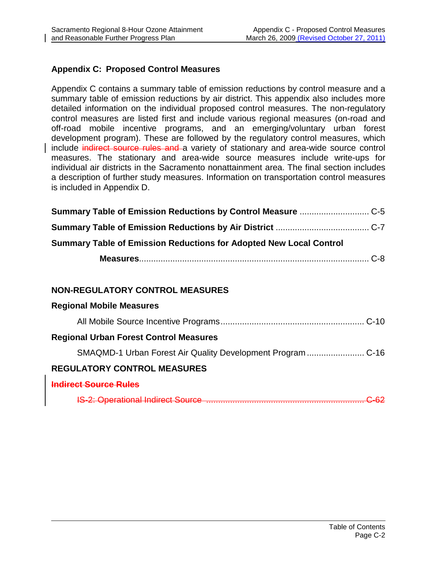# **Appendix C: Proposed Control Measures**

Appendix C contains a summary table of emission reductions by control measure and a summary table of emission reductions by air district. This appendix also includes more detailed information on the individual proposed control measures. The non-regulatory control measures are listed first and include various regional measures (on-road and off-road mobile incentive programs, and an emerging/voluntary urban forest development program). These are followed by the regulatory control measures, which include indirect source rules and a variety of stationary and area-wide source control measures. The stationary and area-wide source measures include write-ups for individual air districts in the Sacramento nonattainment area. The final section includes a description of further study measures. Information on transportation control measures is included in Appendix D.

| <b>Summary Table of Emission Reductions for Adopted New Local Control</b> |  |  |  |
|---------------------------------------------------------------------------|--|--|--|
|                                                                           |  |  |  |

# **NON-REGULATORY CONTROL MEASURES**

| <b>Regional Mobile Measures</b>                             |
|-------------------------------------------------------------|
|                                                             |
| <b>Regional Urban Forest Control Measures</b>               |
| SMAQMD-1 Urban Forest Air Quality Development Program  C-16 |
| <b>REGULATORY CONTROL MEASURES</b>                          |
| Indirect Source Rules                                       |
|                                                             |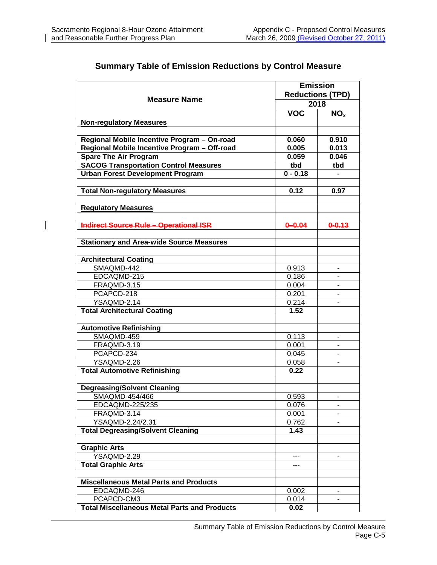$\overline{\phantom{a}}$ 

|                                                     | <b>Emission</b><br><b>Reductions (TPD)</b> |                 |  |
|-----------------------------------------------------|--------------------------------------------|-----------------|--|
| <b>Measure Name</b>                                 | 2018                                       |                 |  |
|                                                     | <b>VOC</b>                                 |                 |  |
|                                                     |                                            | NO <sub>x</sub> |  |
| <b>Non-regulatory Measures</b>                      |                                            |                 |  |
| Regional Mobile Incentive Program - On-road         | 0.060                                      | 0.910           |  |
| Regional Mobile Incentive Program - Off-road        | 0.005                                      | 0.013           |  |
| <b>Spare The Air Program</b>                        | 0.059                                      | 0.046           |  |
| <b>SACOG Transportation Control Measures</b>        | tbd                                        | tbd             |  |
| <b>Urban Forest Development Program</b>             | $0 - 0.18$                                 |                 |  |
|                                                     |                                            |                 |  |
| <b>Total Non-regulatory Measures</b>                | 0.12                                       | 0.97            |  |
| <b>Regulatory Measures</b>                          |                                            |                 |  |
|                                                     |                                            |                 |  |
| <b>Indirect Source Rule - Operational ISR</b>       | $0 - 0.04$                                 | $0 - 0.13$      |  |
| <b>Stationary and Area-wide Source Measures</b>     |                                            |                 |  |
| <b>Architectural Coating</b>                        |                                            |                 |  |
| SMAQMD-442                                          | 0.913                                      | $\blacksquare$  |  |
| EDCAQMD-215                                         | 0.186                                      |                 |  |
| FRAQMD-3.15                                         | 0.004                                      | $\blacksquare$  |  |
| PCAPCD-218                                          | 0.201                                      | $\blacksquare$  |  |
| YSAQMD-2.14                                         | 0.214                                      |                 |  |
| <b>Total Architectural Coating</b>                  | 1.52                                       |                 |  |
| <b>Automotive Refinishing</b>                       |                                            |                 |  |
| SMAQMD-459                                          | 0.113                                      | $\blacksquare$  |  |
| FRAQMD-3.19                                         | 0.001                                      |                 |  |
| PCAPCD-234                                          | 0.045                                      | $\blacksquare$  |  |
| YSAQMD-2.26                                         | 0.058                                      |                 |  |
| <b>Total Automotive Refinishing</b>                 | 0.22                                       |                 |  |
|                                                     |                                            |                 |  |
| <b>Degreasing/Solvent Cleaning</b>                  |                                            |                 |  |
| SMAQMD-454/466                                      | 0.593                                      |                 |  |
| EDCAQMD-225/235                                     | 0.076                                      |                 |  |
| FRAQMD-3.14                                         | 0.001                                      |                 |  |
| YSAQMD-2.24/2.31                                    | 0.762                                      |                 |  |
| <b>Total Degreasing/Solvent Cleaning</b>            | 1.43                                       |                 |  |
| <b>Graphic Arts</b>                                 |                                            |                 |  |
| YSAQMD-2.29                                         |                                            |                 |  |
| <b>Total Graphic Arts</b>                           | ---                                        |                 |  |
|                                                     |                                            |                 |  |
| <b>Miscellaneous Metal Parts and Products</b>       |                                            |                 |  |
| EDCAQMD-246                                         | 0.002                                      |                 |  |
| PCAPCD-CM3                                          | 0.014                                      |                 |  |
| <b>Total Miscellaneous Metal Parts and Products</b> | 0.02                                       |                 |  |

# **Summary Table of Emission Reductions by Control Measure**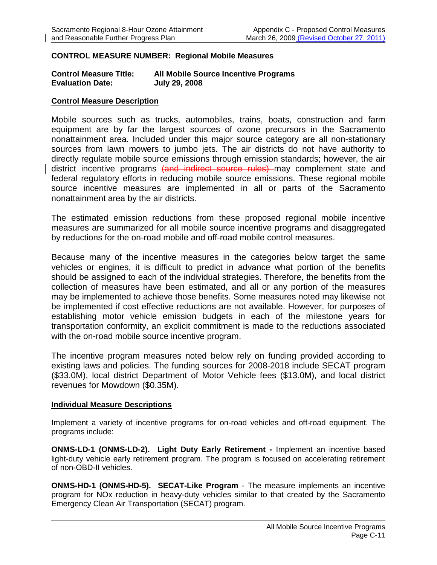#### **CONTROL MEASURE NUMBER: Regional Mobile Measures**

#### **Control Measure Title: All Mobile Source Incentive Programs Evaluation Date: July 29, 2008**

#### **Control Measure Description**

Mobile sources such as trucks, automobiles, trains, boats, construction and farm equipment are by far the largest sources of ozone precursors in the Sacramento nonattainment area. Included under this major source category are all non-stationary sources from lawn mowers to jumbo jets. The air districts do not have authority to directly regulate mobile source emissions through emission standards; however, the air district incentive programs (and indirect source rules) may complement state and federal regulatory efforts in reducing mobile source emissions. These regional mobile source incentive measures are implemented in all or parts of the Sacramento nonattainment area by the air districts.

The estimated emission reductions from these proposed regional mobile incentive measures are summarized for all mobile source incentive programs and disaggregated by reductions for the on-road mobile and off-road mobile control measures.

Because many of the incentive measures in the categories below target the same vehicles or engines, it is difficult to predict in advance what portion of the benefits should be assigned to each of the individual strategies. Therefore, the benefits from the collection of measures have been estimated, and all or any portion of the measures may be implemented to achieve those benefits. Some measures noted may likewise not be implemented if cost effective reductions are not available. However, for purposes of establishing motor vehicle emission budgets in each of the milestone years for transportation conformity, an explicit commitment is made to the reductions associated with the on-road mobile source incentive program.

The incentive program measures noted below rely on funding provided according to existing laws and policies. The funding sources for 2008-2018 include SECAT program (\$33.0M), local district Department of Motor Vehicle fees (\$13.0M), and local district revenues for Mowdown (\$0.35M).

#### **Individual Measure Descriptions**

Implement a variety of incentive programs for on-road vehicles and off-road equipment. The programs include:

**ONMS-LD-1 (ONMS-LD-2). Light Duty Early Retirement -** Implement an incentive based light-duty vehicle early retirement program. The program is focused on accelerating retirement of non-OBD-II vehicles.

**ONMS-HD-1 (ONMS-HD-5). SECAT-Like Program** - The measure implements an incentive program for NOx reduction in heavy-duty vehicles similar to that created by the Sacramento Emergency Clean Air Transportation (SECAT) program.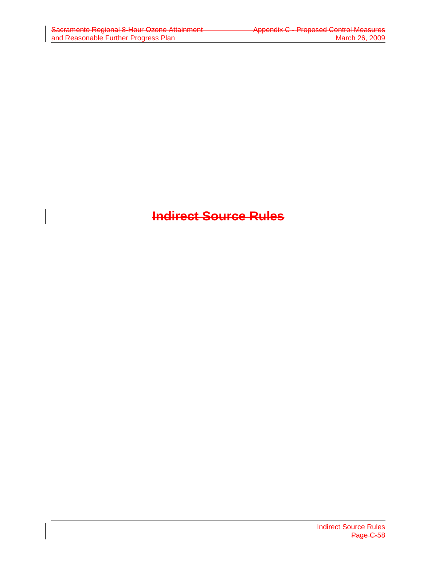# **Indirect Source Rules**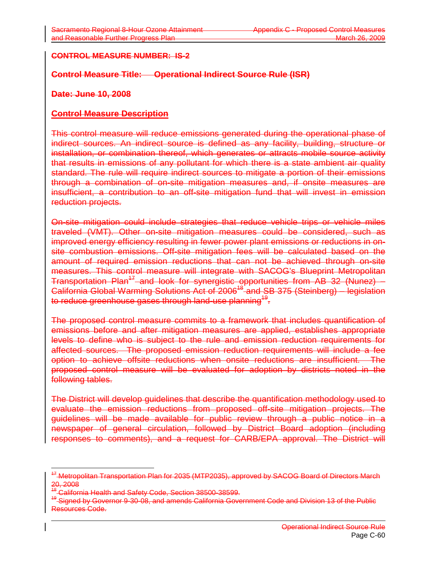## **CONTROL MEASURE NUMBER: IS-2**

## **Control Measure Title: Operational Indirect Source Rule (ISR)**

## **Date: June 10, 2008**

## **Control Measure Description**

This control measure will reduce emissions generated during the operational phase of indirect sources. An indirect source is defined as any facility, building, structure or installation, or combination thereof, which generates or attracts mobile source activity that results in emissions of any pollutant for which there is a state ambient air quality standard. The rule will require indirect sources to mitigate a portion of their emissions through a combination of on-site mitigation measures and, if onsite measures are insufficient, a contribution to an off-site mitigation fund that will invest in emission reduction projects.

On-site mitigation could include strategies that reduce vehicle trips or vehicle miles traveled (VMT). Other on-site mitigation measures could be considered, such as improved energy efficiency resulting in fewer power plant emissions or reductions in onsite combustion emissions. Off-site mitigation fees will be calculated based on the amount of required emission reductions that can not be achieved through on-site measures. This control measure will integrate with SACOG's Blueprint Metropolitan Transportation Plan<sup>17</sup> and look for synergistic opportunities from AB 32 (Nunez) – California Global Warming Solutions Act of 2006<sup>48</sup> and SB 375 (Steinberg) – legislation to reduce greenhouse gases through land-use planning<sup>19</sup>.

The proposed control measure commits to a framework that includes quantification of emissions before and after mitigation measures are applied, establishes appropriate levels to define who is subject to the rule and emission reduction requirements for affected sources. The proposed emission reduction requirements will include a fee option to achieve offsite reductions when onsite reductions are insufficient. The proposed control measure will be evaluated for adoption by districts noted in the following tables.

The District will develop guidelines that describe the quantification methodology used to evaluate the emission reductions from proposed off-site mitigation projects. The guidelines will be made available for public review through a public notice in a newspaper of general circulation, followed by District Board adoption (including responses to comments), and a request for CARB/EPA approval. The District will

<sup>&</sup>lt;sup>47</sup> Metropolitan Transportation Plan for 2035 (MTP2035), approved by SACOG Board of Directors March 20, 2008

<sup>&</sup>lt;sup>48</sup> California Health and Safety Code, Section 38500-38599.

<sup>&</sup>lt;sup>49</sup> Signed by Governor 9-30-08, and amends California Government Code and Division 13 of the Public Resources Code.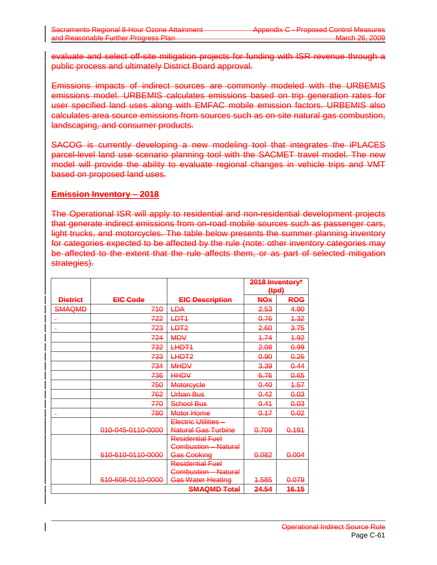evaluate and select off-site mitigation projects for funding with ISR revenue through a public process and ultimately District Board approval.

Emissions impacts of indirect sources are commonly modeled with the URBEMIS emissions model. URBEMIS calculates emissions based on trip generation rates for user specified land uses along with EMFAC mobile emission factors. URBEMIS also calculates area source emissions from sources such as on-site natural gas combustion, landscaping, and consumer products.

SACOG is currently developing a new modeling tool that integrates the iPLACES parcel-level land use scenario planning tool with the SACMET travel model. The new model will provide the ability to evaluate regional changes in vehicle trips and VMT based on proposed land uses.

## **Emission Inventory – 2018**

The Operational ISR will apply to residential and non-residential development projects that generate indirect emissions from on-road mobile sources such as passenger cars, light trucks, and motorcycles. The table below presents the summer planning inventory for categories expected to be affected by the rule (note: other inventory categories may be affected to the extent that the rule affects them, or as part of selected mitigation strategies).

|                 |                   |                            | 2018 Inventory*<br>${+}$ |                  |
|-----------------|-------------------|----------------------------|--------------------------|------------------|
| <b>District</b> | <b>EIC-Code</b>   | <b>EIC Description</b>     | <b>NOx</b>               | ROG              |
| SMAQMD          | 710               | <del>LDA</del>             | 2.53                     | 4.90             |
|                 | 722               | <del>LDT1</del>            | 0.76                     | <del>1.32</del>  |
|                 | 723               | <del>LDT2</del>            | 2.60                     | 3.75             |
|                 | 724               | <b>MDV</b>                 | 4.74                     | 4.92             |
|                 | 732               | <del>LHDT1</del>           | 2.08                     | <del>0.99</del>  |
|                 | 733               | LHDT2                      | 0.90                     | 0.26             |
|                 | 734               | <b>MHDV</b>                | 3.39                     | 0.44             |
|                 | 736               | <b>HHDV</b>                | 6.76                     | 0.65             |
|                 | 750               | <b>Motorcycle</b>          | 0.40                     | 4.57             |
|                 | 762               | Urban Bus                  | 0.42                     | 0.03             |
|                 | 770               | School Bus                 | 0.44                     | 0.03             |
|                 | 780               | Motor Home                 | 0.17                     | 0.02             |
|                 |                   | <b>Electric Utilities-</b> |                          |                  |
|                 | 010-045-0110-0000 | <b>Natural Gas Turbine</b> | <del>0.709</del>         | <del>0.191</del> |
|                 |                   | <b>Residential Fuel</b>    |                          |                  |
|                 |                   | Combustion - Natural       |                          |                  |
|                 | 610-610-0110-0000 | Gas Cooking                | 0.082                    | <del>0.004</del> |
|                 |                   | <b>Residential Fuel</b>    |                          |                  |
|                 |                   | Combustion - Natural       |                          |                  |
|                 | 610-608-0110-0000 | <b>Gas Water Heating</b>   | <del>1.585</del>         | 0.079            |
|                 |                   | <b>SMAQMD Total</b>        | 24.54                    | <b>16.15</b>     |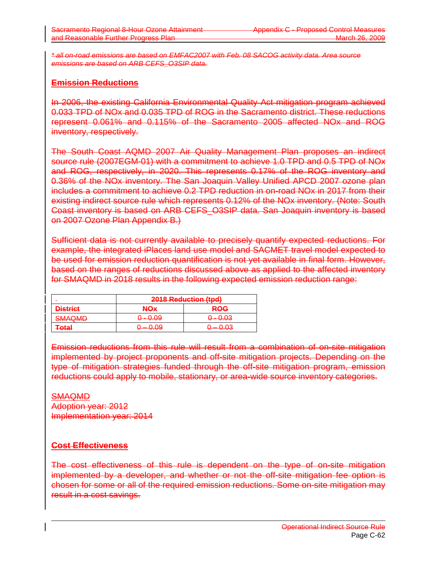*\* all on-road emissions are based on EMFAC2007 with Feb. 08 SACOG activity data. Area source emissions are based on ARB CEFS\_O3SIP data.*

# **Emission Reductions**

In 2006, the existing California Environmental Quality Act mitigation program achieved 0.033 TPD of NOx and 0.035 TPD of ROG in the Sacramento district. These reductions represent 0.061% and 0.115% of the Sacramento 2005 affected NOx and ROG inventory, respectively.

The South Coast AQMD 2007 Air Quality Management Plan proposes an indirect source rule (2007EGM-01) with a commitment to achieve 1.0 TPD and 0.5 TPD of NOx and ROG, respectively, in 2020. This represents 0.17% of the ROG inventory and 0.36% of the NOx inventory. The San Joaquin Valley Unified APCD 2007 ozone plan includes a commitment to achieve 0.2 TPD reduction in on-road NOx in 2017 from their existing indirect source rule which represents 0.12% of the NOx inventory. (Note: South Coast inventory is based on ARB CEFS\_O3SIP data. San Joaquin inventory is based on 2007 Ozone Plan Appendix B.)

Sufficient data is not currently available to precisely quantify expected reductions. For example, the integrated iPlaces land use model and SACMET travel model expected to be used for emission reduction quantification is not yet available in final form. However, based on the ranges of reductions discussed above as applied to the affected inventory for SMAQMD in 2018 results in the following expected emission reduction range:

|                                       | 2018 Reduction (tpd) |                     |
|---------------------------------------|----------------------|---------------------|
| <b>Dictrict</b><br><del>Pistnot</del> | NOx                  | <b>ROG</b>          |
| <b>SMAQMD</b>                         | <u>n . n na</u>      | <u> വെ റദ</u>       |
| <del>omnamo</del>                     | <del>v.vo</del>      | <del>0 - 0.00</del> |
| Eofal                                 | $= 0.09$             | ാ – വാദ             |
| <del>rvai</del>                       | <del>u.uo</del>      | <del>u.uu</del>     |

Emission reductions from this rule will result from a combination of on-site mitigation implemented by project proponents and off-site mitigation projects. Depending on the type of mitigation strategies funded through the off-site mitigation program, emission reductions could apply to mobile, stationary, or area-wide source inventory categories.

**SMAQMD** Adoption year: 2012 Implementation year: 2014

# **Cost Effectiveness**

The cost effectiveness of this rule is dependent on the type of on-site mitigation implemented by a developer, and whether or not the off-site mitigation fee option is chosen for some or all of the required emission reductions. Some on-site mitigation may result in a cost savings.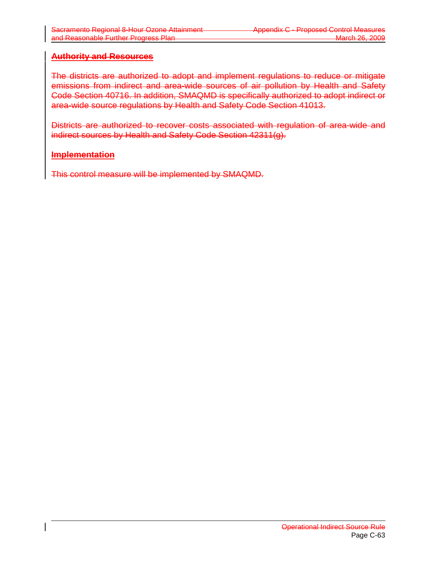# **Authority and Resources**

The districts are authorized to adopt and implement regulations to reduce or mitigate emissions from indirect and area-wide sources of air pollution by Health and Safety Code Section 40716. In addition, SMAQMD is specifically authorized to adopt indirect or area-wide source regulations by Health and Safety Code Section 41013.

Districts are authorized to recover costs associated with regulation of area-wide and indirect sources by Health and Safety Code Section 42311(g).

## **Implementation**

This control measure will be implemented by SMAQMD.